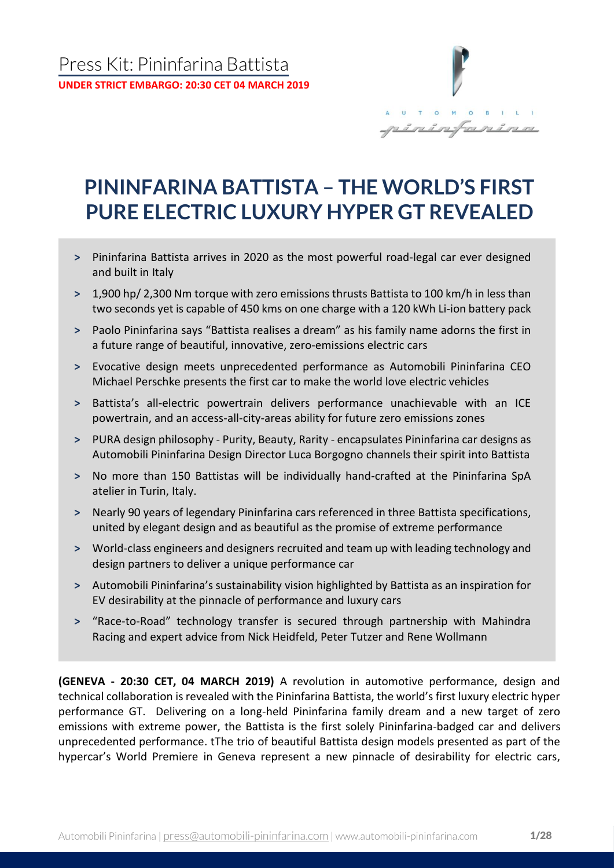

# **PININFARINA BATTISTA – THE WORLD'S FIRST PURE ELECTRIC LUXURY HYPER GT REVEALED**

- **˃** Pininfarina Battista arrives in 2020 as the most powerful road-legal car ever designed and built in Italy
- **˃** 1,900 hp/ 2,300 Nm torque with zero emissions thrusts Battista to 100 km/h in less than two seconds yet is capable of 450 kms on one charge with a 120 kWh Li-ion battery pack
- **˃** Paolo Pininfarina says "Battista realises a dream" as his family name adorns the first in a future range of beautiful, innovative, zero-emissions electric cars
- **˃** Evocative design meets unprecedented performance as Automobili Pininfarina CEO Michael Perschke presents the first car to make the world love electric vehicles
- **˃** Battista's all-electric powertrain delivers performance unachievable with an ICE powertrain, and an access-all-city-areas ability for future zero emissions zones
- **˃** PURA design philosophy Purity, Beauty, Rarity encapsulates Pininfarina car designs as Automobili Pininfarina Design Director Luca Borgogno channels their spirit into Battista
- **˃** No more than 150 Battistas will be individually hand-crafted at the Pininfarina SpA atelier in Turin, Italy.
- **˃** Nearly 90 years of legendary Pininfarina cars referenced in three Battista specifications, united by elegant design and as beautiful as the promise of extreme performance
- **˃** World-class engineers and designers recruited and team up with leading technology and design partners to deliver a unique performance car
- **˃** Automobili Pininfarina's sustainability vision highlighted by Battista as an inspiration for EV desirability at the pinnacle of performance and luxury cars
- **˃** "Race-to-Road" technology transfer is secured through partnership with Mahindra Racing and expert advice from Nick Heidfeld, Peter Tutzer and Rene Wollmann

**(GENEVA - 20:30 CET, 04 MARCH 2019)** A revolution in automotive performance, design and technical collaboration is revealed with the Pininfarina Battista, the world's first luxury electric hyper performance GT. Delivering on a long-held Pininfarina family dream and a new target of zero emissions with extreme power, the Battista is the first solely Pininfarina-badged car and delivers unprecedented performance. tThe trio of beautiful Battista design models presented as part of the hypercar's World Premiere in Geneva represent a new pinnacle of desirability for electric cars,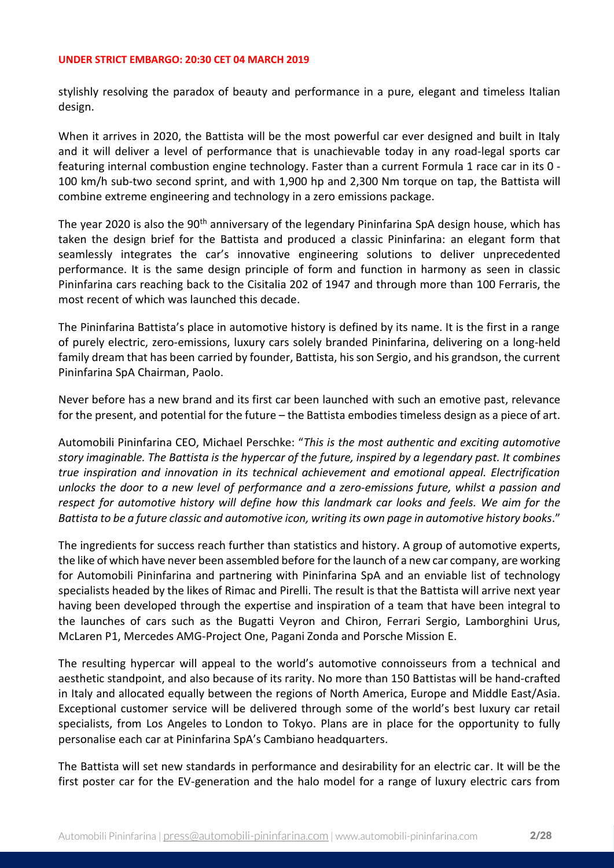stylishly resolving the paradox of beauty and performance in a pure, elegant and timeless Italian design.

When it arrives in 2020, the Battista will be the most powerful car ever designed and built in Italy and it will deliver a level of performance that is unachievable today in any road-legal sports car featuring internal combustion engine technology. Faster than a current Formula 1 race car in its 0 - 100 km/h sub-two second sprint, and with 1,900 hp and 2,300 Nm torque on tap, the Battista will combine extreme engineering and technology in a zero emissions package.

The year 2020 is also the 90<sup>th</sup> anniversary of the legendary Pininfarina SpA design house, which has taken the design brief for the Battista and produced a classic Pininfarina: an elegant form that seamlessly integrates the car's innovative engineering solutions to deliver unprecedented performance. It is the same design principle of form and function in harmony as seen in classic Pininfarina cars reaching back to the Cisitalia 202 of 1947 and through more than 100 Ferraris, the most recent of which was launched this decade.

The Pininfarina Battista's place in automotive history is defined by its name. It is the first in a range of purely electric, zero-emissions, luxury cars solely branded Pininfarina, delivering on a long-held family dream that has been carried by founder, Battista, his son Sergio, and his grandson, the current Pininfarina SpA Chairman, Paolo.

Never before has a new brand and its first car been launched with such an emotive past, relevance for the present, and potential for the future – the Battista embodies timeless design as a piece of art.

Automobili Pininfarina CEO, Michael Perschke: "*This is the most authentic and exciting automotive story imaginable. The Battista is the hypercar of the future, inspired by a legendary past. It combines true inspiration and innovation in its technical achievement and emotional appeal. Electrification unlocks the door to a new level of performance and a zero-emissions future, whilst a passion and respect for automotive history will define how this landmark car looks and feels. We aim for the Battista to be a future classic and automotive icon, writing its own page in automotive history books*."

The ingredients for success reach further than statistics and history. A group of automotive experts, the like of which have never been assembled before for the launch of a new car company, are working for Automobili Pininfarina and partnering with Pininfarina SpA and an enviable list of technology specialists headed by the likes of Rimac and Pirelli. The result is that the Battista will arrive next year having been developed through the expertise and inspiration of a team that have been integral to the launches of cars such as the Bugatti Veyron and Chiron, Ferrari Sergio, Lamborghini Urus, McLaren P1, Mercedes AMG-Project One, Pagani Zonda and Porsche Mission E.

The resulting hypercar will appeal to the world's automotive connoisseurs from a technical and aesthetic standpoint, and also because of its rarity. No more than 150 Battistas will be hand-crafted in Italy and allocated equally between the regions of North America, Europe and Middle East/Asia. Exceptional customer service will be delivered through some of the world's best luxury car retail specialists, from Los Angeles to London to Tokyo. Plans are in place for the opportunity to fully personalise each car at Pininfarina SpA's Cambiano headquarters.

The Battista will set new standards in performance and desirability for an electric car. It will be the first poster car for the EV-generation and the halo model for a range of luxury electric cars from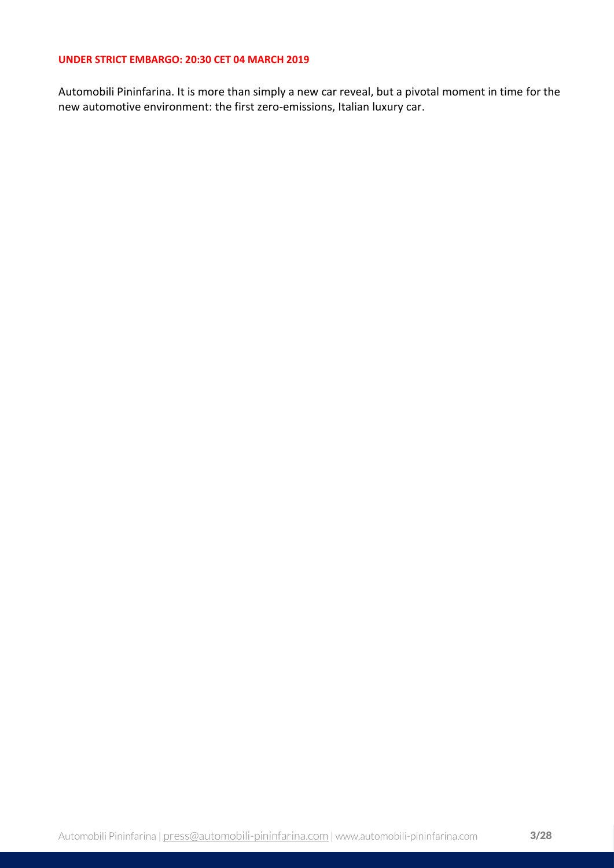Automobili Pininfarina. It is more than simply a new car reveal, but a pivotal moment in time for the new automotive environment: the first zero-emissions, Italian luxury car.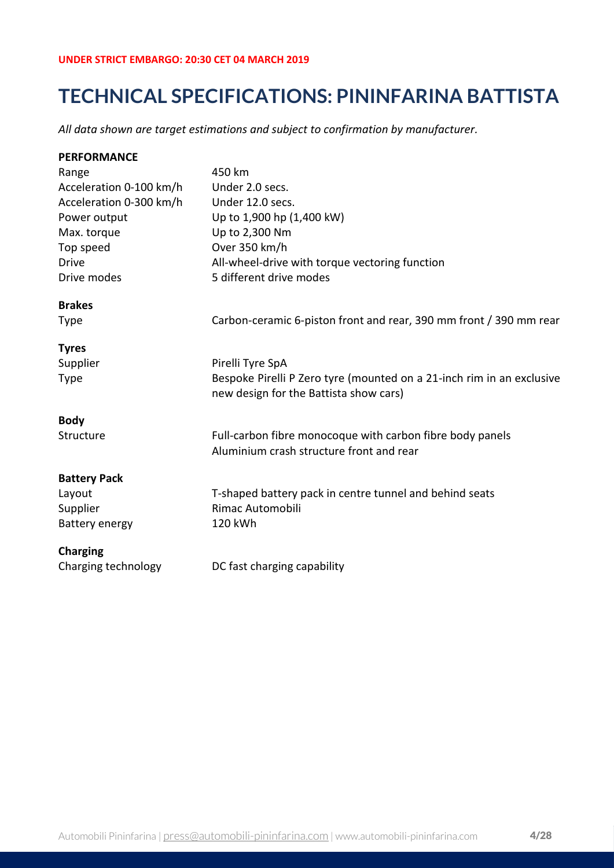## **TECHNICAL SPECIFICATIONS: PININFARINA BATTISTA**

*All data shown are target estimations and subject to confirmation by manufacturer.*

| <b>PERFORMANCE</b>      |                                                                                                                 |
|-------------------------|-----------------------------------------------------------------------------------------------------------------|
| Range                   | 450 km                                                                                                          |
| Acceleration 0-100 km/h | Under 2.0 secs.                                                                                                 |
| Acceleration 0-300 km/h | Under 12.0 secs.                                                                                                |
| Power output            | Up to 1,900 hp (1,400 kW)                                                                                       |
| Max. torque             | Up to 2,300 Nm                                                                                                  |
| Top speed               | Over 350 km/h                                                                                                   |
| <b>Drive</b>            | All-wheel-drive with torque vectoring function                                                                  |
| Drive modes             | 5 different drive modes                                                                                         |
| <b>Brakes</b>           |                                                                                                                 |
| <b>Type</b>             | Carbon-ceramic 6-piston front and rear, 390 mm front / 390 mm rear                                              |
| <b>Tyres</b>            |                                                                                                                 |
| Supplier                | Pirelli Tyre SpA                                                                                                |
| <b>Type</b>             | Bespoke Pirelli P Zero tyre (mounted on a 21-inch rim in an exclusive<br>new design for the Battista show cars) |
| <b>Body</b>             |                                                                                                                 |
| Structure               | Full-carbon fibre monocoque with carbon fibre body panels<br>Aluminium crash structure front and rear           |
| <b>Battery Pack</b>     |                                                                                                                 |
| Layout                  | T-shaped battery pack in centre tunnel and behind seats                                                         |
| Supplier                | <b>Rimac Automobili</b>                                                                                         |
| Battery energy          | 120 kWh                                                                                                         |
| <b>Charging</b>         |                                                                                                                 |
| Charging technology     | DC fast charging capability                                                                                     |
|                         |                                                                                                                 |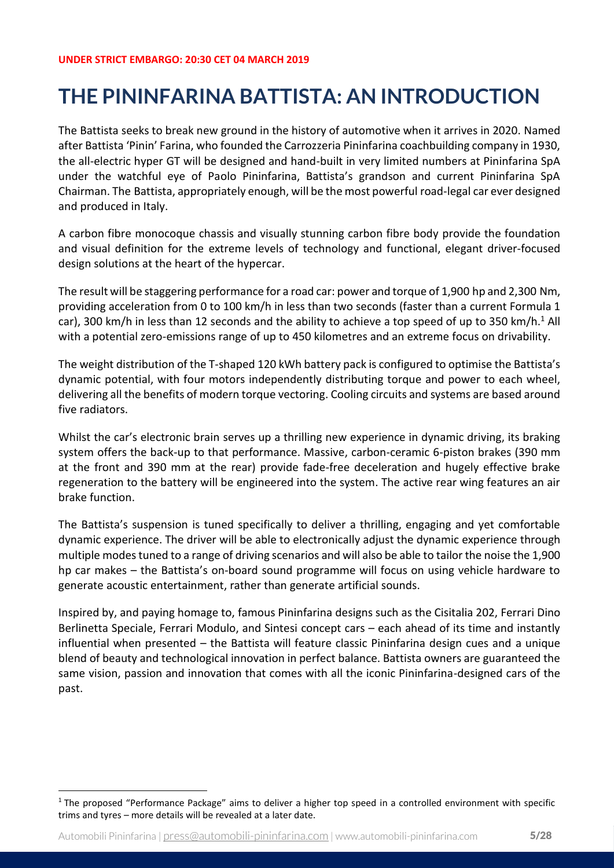# **THE PININFARINA BATTISTA: AN INTRODUCTION**

The Battista seeks to break new ground in the history of automotive when it arrives in 2020. Named after Battista 'Pinin' Farina, who founded the Carrozzeria Pininfarina coachbuilding company in 1930, the all-electric hyper GT will be designed and hand-built in very limited numbers at Pininfarina SpA under the watchful eye of Paolo Pininfarina, Battista's grandson and current Pininfarina SpA Chairman. The Battista, appropriately enough, will be the most powerful road-legal car ever designed and produced in Italy.

A carbon fibre monocoque chassis and visually stunning carbon fibre body provide the foundation and visual definition for the extreme levels of technology and functional, elegant driver-focused design solutions at the heart of the hypercar.

The result will be staggering performance for a road car: power and torque of 1,900 hp and 2,300 Nm, providing acceleration from 0 to 100 km/h in less than two seconds (faster than a current Formula 1 car), 300 km/h in less than 12 seconds and the ability to achieve a top speed of up to 350 km/h.<sup>1</sup> All with a potential zero-emissions range of up to 450 kilometres and an extreme focus on drivability.

The weight distribution of the T-shaped 120 kWh battery pack is configured to optimise the Battista's dynamic potential, with four motors independently distributing torque and power to each wheel, delivering all the benefits of modern torque vectoring. Cooling circuits and systems are based around five radiators.

Whilst the car's electronic brain serves up a thrilling new experience in dynamic driving, its braking system offers the back-up to that performance. Massive, carbon-ceramic 6-piston brakes (390 mm at the front and 390 mm at the rear) provide fade-free deceleration and hugely effective brake regeneration to the battery will be engineered into the system. The active rear wing features an air brake function.

The Battista's suspension is tuned specifically to deliver a thrilling, engaging and yet comfortable dynamic experience. The driver will be able to electronically adjust the dynamic experience through multiple modes tuned to a range of driving scenarios and will also be able to tailor the noise the 1,900 hp car makes – the Battista's on-board sound programme will focus on using vehicle hardware to generate acoustic entertainment, rather than generate artificial sounds.

Inspired by, and paying homage to, famous Pininfarina designs such as the Cisitalia 202, Ferrari Dino Berlinetta Speciale, Ferrari Modulo, and Sintesi concept cars – each ahead of its time and instantly influential when presented – the Battista will feature classic Pininfarina design cues and a unique blend of beauty and technological innovation in perfect balance. Battista owners are guaranteed the same vision, passion and innovation that comes with all the iconic Pininfarina-designed cars of the past.

 $1$  The proposed "Performance Package" aims to deliver a higher top speed in a controlled environment with specific trims and tyres – more details will be revealed at a later date.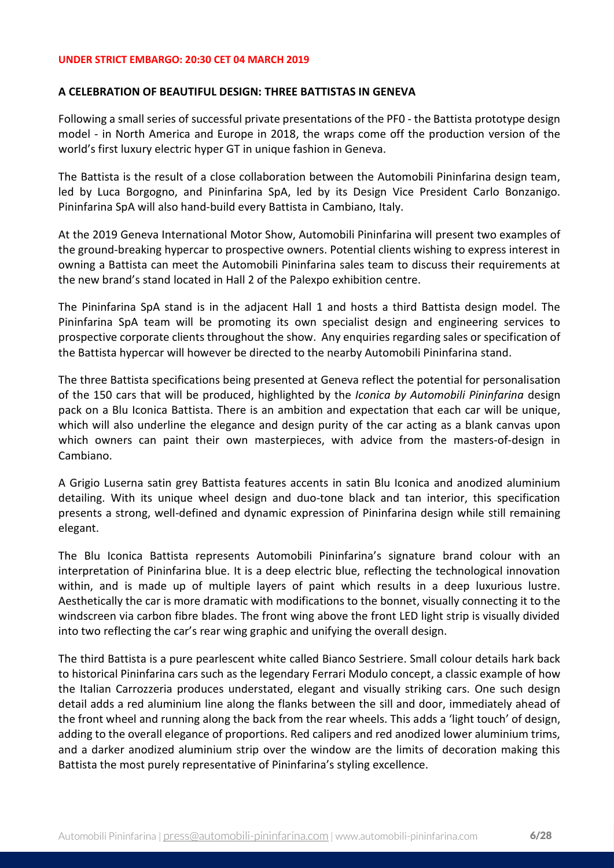### **A CELEBRATION OF BEAUTIFUL DESIGN: THREE BATTISTAS IN GENEVA**

Following a small series of successful private presentations of the PF0 - the Battista prototype design model - in North America and Europe in 2018, the wraps come off the production version of the world's first luxury electric hyper GT in unique fashion in Geneva.

The Battista is the result of a close collaboration between the Automobili Pininfarina design team, led by Luca Borgogno, and Pininfarina SpA, led by its Design Vice President Carlo Bonzanigo. Pininfarina SpA will also hand-build every Battista in Cambiano, Italy.

At the 2019 Geneva International Motor Show, Automobili Pininfarina will present two examples of the ground-breaking hypercar to prospective owners. Potential clients wishing to express interest in owning a Battista can meet the Automobili Pininfarina sales team to discuss their requirements at the new brand's stand located in Hall 2 of the Palexpo exhibition centre.

The Pininfarina SpA stand is in the adjacent Hall 1 and hosts a third Battista design model. The Pininfarina SpA team will be promoting its own specialist design and engineering services to prospective corporate clients throughout the show. Any enquiries regarding sales or specification of the Battista hypercar will however be directed to the nearby Automobili Pininfarina stand.

The three Battista specifications being presented at Geneva reflect the potential for personalisation of the 150 cars that will be produced, highlighted by the *Iconica by Automobili Pininfarina* design pack on a Blu Iconica Battista. There is an ambition and expectation that each car will be unique, which will also underline the elegance and design purity of the car acting as a blank canvas upon which owners can paint their own masterpieces, with advice from the masters-of-design in Cambiano.

A Grigio Luserna satin grey Battista features accents in satin Blu Iconica and anodized aluminium detailing. With its unique wheel design and duo-tone black and tan interior, this specification presents a strong, well-defined and dynamic expression of Pininfarina design while still remaining elegant.

The Blu Iconica Battista represents Automobili Pininfarina's signature brand colour with an interpretation of Pininfarina blue. It is a deep electric blue, reflecting the technological innovation within, and is made up of multiple layers of paint which results in a deep luxurious lustre. Aesthetically the car is more dramatic with modifications to the bonnet, visually connecting it to the windscreen via carbon fibre blades. The front wing above the front LED light strip is visually divided into two reflecting the car's rear wing graphic and unifying the overall design.

The third Battista is a pure pearlescent white called Bianco Sestriere. Small colour details hark back to historical Pininfarina cars such as the legendary Ferrari Modulo concept, a classic example of how the Italian Carrozzeria produces understated, elegant and visually striking cars. One such design detail adds a red aluminium line along the flanks between the sill and door, immediately ahead of the front wheel and running along the back from the rear wheels. This adds a 'light touch' of design, adding to the overall elegance of proportions. Red calipers and red anodized lower aluminium trims, and a darker anodized aluminium strip over the window are the limits of decoration making this Battista the most purely representative of Pininfarina's styling excellence.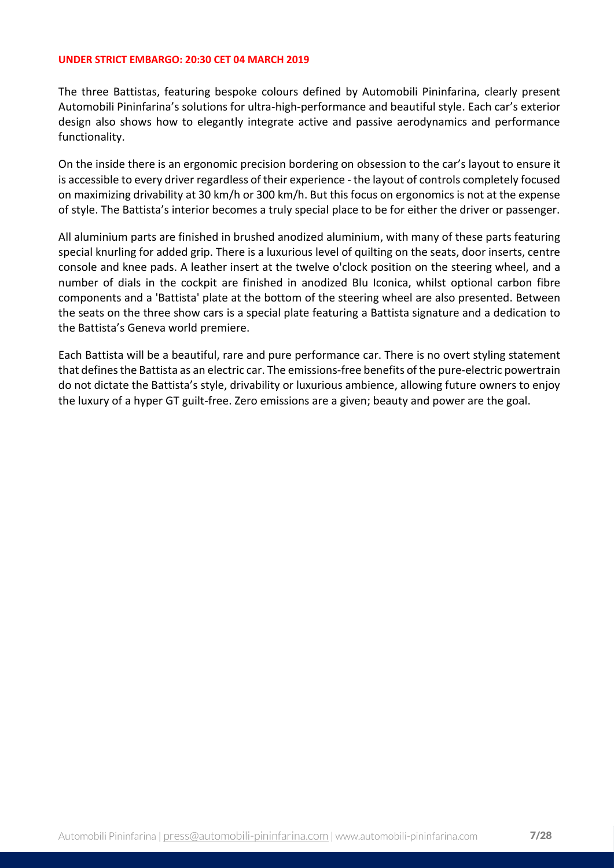The three Battistas, featuring bespoke colours defined by Automobili Pininfarina, clearly present Automobili Pininfarina's solutions for ultra-high-performance and beautiful style. Each car's exterior design also shows how to elegantly integrate active and passive aerodynamics and performance functionality.

On the inside there is an ergonomic precision bordering on obsession to the car's layout to ensure it is accessible to every driver regardless of their experience - the layout of controls completely focused on maximizing drivability at 30 km/h or 300 km/h. But this focus on ergonomics is not at the expense of style. The Battista's interior becomes a truly special place to be for either the driver or passenger.

All aluminium parts are finished in brushed anodized aluminium, with many of these parts featuring special knurling for added grip. There is a luxurious level of quilting on the seats, door inserts, centre console and knee pads. A leather insert at the twelve o'clock position on the steering wheel, and a number of dials in the cockpit are finished in anodized Blu Iconica, whilst optional carbon fibre components and a 'Battista' plate at the bottom of the steering wheel are also presented. Between the seats on the three show cars is a special plate featuring a Battista signature and a dedication to the Battista's Geneva world premiere.

Each Battista will be a beautiful, rare and pure performance car. There is no overt styling statement that defines the Battista as an electric car. The emissions-free benefits of the pure-electric powertrain do not dictate the Battista's style, drivability or luxurious ambience, allowing future owners to enjoy the luxury of a hyper GT guilt-free. Zero emissions are a given; beauty and power are the goal.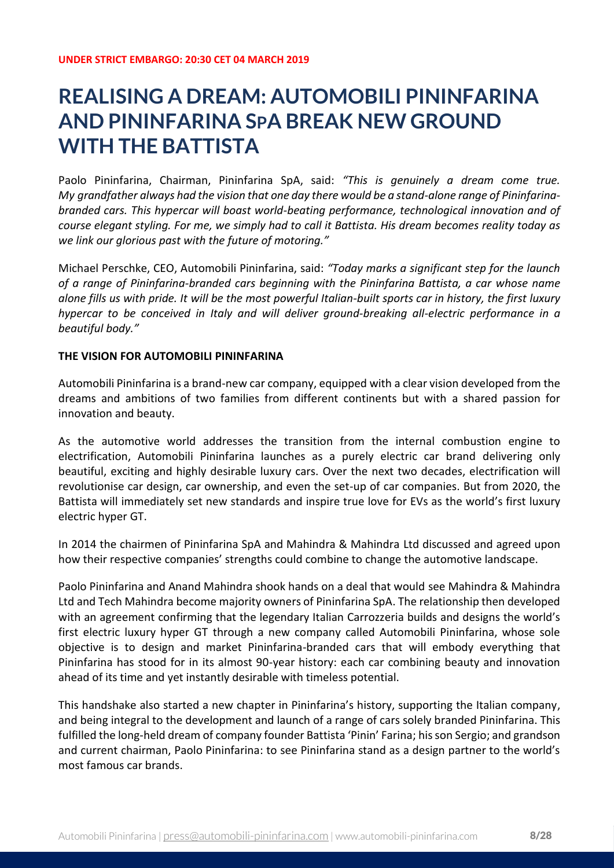## **REALISING A DREAM: AUTOMOBILI PININFARINA AND PININFARINA SPA BREAK NEW GROUND WITH THE BATTISTA**

Paolo Pininfarina, Chairman, Pininfarina SpA, said: *"This is genuinely a dream come true. My grandfather always had the vision that one day there would be a stand-alone range of Pininfarinabranded cars. This hypercar will boast world-beating performance, technological innovation and of course elegant styling. For me, we simply had to call it Battista. His dream becomes reality today as we link our glorious past with the future of motoring."*

Michael Perschke, CEO, Automobili Pininfarina, said: *"Today marks a significant step for the launch of a range of Pininfarina-branded cars beginning with the Pininfarina Battista, a car whose name alone fills us with pride. It will be the most powerful Italian-built sports car in history, the first luxury hypercar to be conceived in Italy and will deliver ground-breaking all-electric performance in a beautiful body."*

## **THE VISION FOR AUTOMOBILI PININFARINA**

Automobili Pininfarina is a brand-new car company, equipped with a clear vision developed from the dreams and ambitions of two families from different continents but with a shared passion for innovation and beauty.

As the automotive world addresses the transition from the internal combustion engine to electrification, Automobili Pininfarina launches as a purely electric car brand delivering only beautiful, exciting and highly desirable luxury cars. Over the next two decades, electrification will revolutionise car design, car ownership, and even the set-up of car companies. But from 2020, the Battista will immediately set new standards and inspire true love for EVs as the world's first luxury electric hyper GT.

In 2014 the chairmen of Pininfarina SpA and Mahindra & Mahindra Ltd discussed and agreed upon how their respective companies' strengths could combine to change the automotive landscape.

Paolo Pininfarina and Anand Mahindra shook hands on a deal that would see Mahindra & Mahindra Ltd and Tech Mahindra become majority owners of Pininfarina SpA. The relationship then developed with an agreement confirming that the legendary Italian Carrozzeria builds and designs the world's first electric luxury hyper GT through a new company called Automobili Pininfarina, whose sole objective is to design and market Pininfarina-branded cars that will embody everything that Pininfarina has stood for in its almost 90-year history: each car combining beauty and innovation ahead of its time and yet instantly desirable with timeless potential.

This handshake also started a new chapter in Pininfarina's history, supporting the Italian company, and being integral to the development and launch of a range of cars solely branded Pininfarina. This fulfilled the long-held dream of company founder Battista 'Pinin' Farina; his son Sergio; and grandson and current chairman, Paolo Pininfarina: to see Pininfarina stand as a design partner to the world's most famous car brands.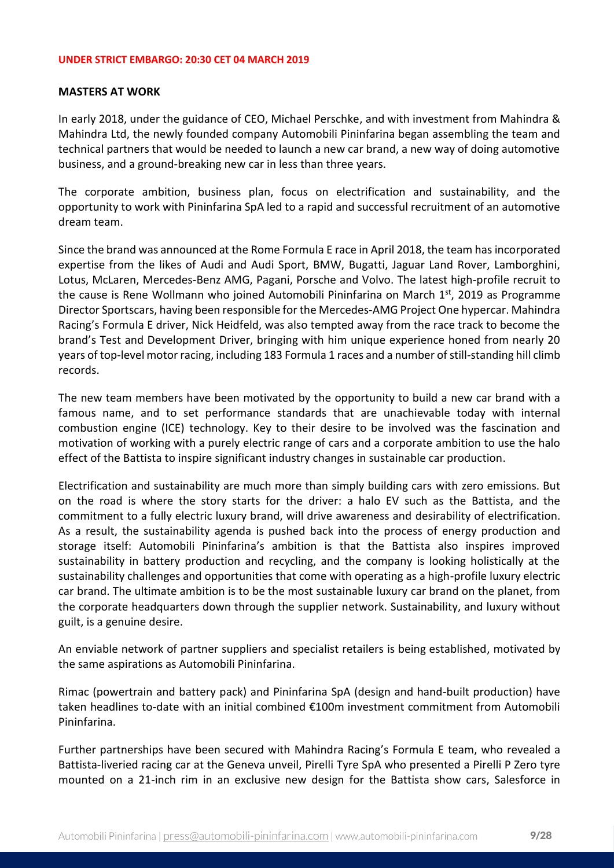### **MASTERS AT WORK**

In early 2018, under the guidance of CEO, Michael Perschke, and with investment from Mahindra & Mahindra Ltd, the newly founded company Automobili Pininfarina began assembling the team and technical partners that would be needed to launch a new car brand, a new way of doing automotive business, and a ground-breaking new car in less than three years.

The corporate ambition, business plan, focus on electrification and sustainability, and the opportunity to work with Pininfarina SpA led to a rapid and successful recruitment of an automotive dream team.

Since the brand was announced at the Rome Formula E race in April 2018, the team has incorporated expertise from the likes of Audi and Audi Sport, BMW, Bugatti, Jaguar Land Rover, Lamborghini, Lotus, McLaren, Mercedes-Benz AMG, Pagani, Porsche and Volvo. The latest high-profile recruit to the cause is Rene Wollmann who joined Automobili Pininfarina on March 1<sup>st</sup>, 2019 as Programme Director Sportscars, having been responsible for the Mercedes-AMG Project One hypercar. Mahindra Racing's Formula E driver, Nick Heidfeld, was also tempted away from the race track to become the brand's Test and Development Driver, bringing with him unique experience honed from nearly 20 years of top-level motor racing, including 183 Formula 1 races and a number of still-standing hill climb records.

The new team members have been motivated by the opportunity to build a new car brand with a famous name, and to set performance standards that are unachievable today with internal combustion engine (ICE) technology. Key to their desire to be involved was the fascination and motivation of working with a purely electric range of cars and a corporate ambition to use the halo effect of the Battista to inspire significant industry changes in sustainable car production.

Electrification and sustainability are much more than simply building cars with zero emissions. But on the road is where the story starts for the driver: a halo EV such as the Battista, and the commitment to a fully electric luxury brand, will drive awareness and desirability of electrification. As a result, the sustainability agenda is pushed back into the process of energy production and storage itself: Automobili Pininfarina's ambition is that the Battista also inspires improved sustainability in battery production and recycling, and the company is looking holistically at the sustainability challenges and opportunities that come with operating as a high-profile luxury electric car brand. The ultimate ambition is to be the most sustainable luxury car brand on the planet, from the corporate headquarters down through the supplier network. Sustainability, and luxury without guilt, is a genuine desire.

An enviable network of partner suppliers and specialist retailers is being established, motivated by the same aspirations as Automobili Pininfarina.

Rimac (powertrain and battery pack) and Pininfarina SpA (design and hand-built production) have taken headlines to-date with an initial combined €100m investment commitment from Automobili Pininfarina.

Further partnerships have been secured with Mahindra Racing's Formula E team, who revealed a Battista-liveried racing car at the Geneva unveil, Pirelli Tyre SpA who presented a Pirelli P Zero tyre mounted on a 21-inch rim in an exclusive new design for the Battista show cars, Salesforce in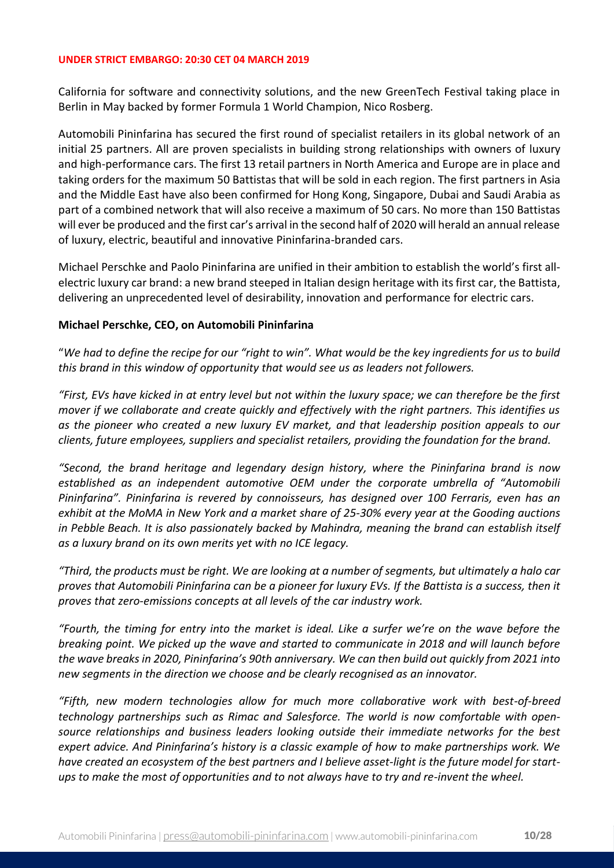California for software and connectivity solutions, and the new GreenTech Festival taking place in Berlin in May backed by former Formula 1 World Champion, Nico Rosberg.

Automobili Pininfarina has secured the first round of specialist retailers in its global network of an initial 25 partners. All are proven specialists in building strong relationships with owners of luxury and high-performance cars. The first 13 retail partners in North America and Europe are in place and taking orders for the maximum 50 Battistas that will be sold in each region. The first partners in Asia and the Middle East have also been confirmed for Hong Kong, Singapore, Dubai and Saudi Arabia as part of a combined network that will also receive a maximum of 50 cars. No more than 150 Battistas will ever be produced and the first car's arrival in the second half of 2020 will herald an annual release of luxury, electric, beautiful and innovative Pininfarina-branded cars.

Michael Perschke and Paolo Pininfarina are unified in their ambition to establish the world's first allelectric luxury car brand: a new brand steeped in Italian design heritage with its first car, the Battista, delivering an unprecedented level of desirability, innovation and performance for electric cars.

## **Michael Perschke, CEO, on Automobili Pininfarina**

"*We had to define the recipe for our "right to win". What would be the key ingredients for us to build this brand in this window of opportunity that would see us as leaders not followers.*

*"First, EVs have kicked in at entry level but not within the luxury space; we can therefore be the first mover if we collaborate and create quickly and effectively with the right partners. This identifies us as the pioneer who created a new luxury EV market, and that leadership position appeals to our clients, future employees, suppliers and specialist retailers, providing the foundation for the brand.* 

*"Second, the brand heritage and legendary design history, where the Pininfarina brand is now established as an independent automotive OEM under the corporate umbrella of "Automobili Pininfarina". Pininfarina is revered by connoisseurs, has designed over 100 Ferraris, even has an exhibit at the MoMA in New York and a market share of 25-30% every year at the Gooding auctions in Pebble Beach. It is also passionately backed by Mahindra, meaning the brand can establish itself as a luxury brand on its own merits yet with no ICE legacy.*

*"Third, the products must be right. We are looking at a number of segments, but ultimately a halo car proves that Automobili Pininfarina can be a pioneer for luxury EVs. If the Battista is a success, then it proves that zero-emissions concepts at all levels of the car industry work.*

*"Fourth, the timing for entry into the market is ideal. Like a surfer we're on the wave before the breaking point. We picked up the wave and started to communicate in 2018 and will launch before the wave breaks in 2020, Pininfarina's 90th anniversary. We can then build out quickly from 2021 into new segments in the direction we choose and be clearly recognised as an innovator.* 

*"Fifth, new modern technologies allow for much more collaborative work with best-of-breed technology partnerships such as Rimac and Salesforce. The world is now comfortable with opensource relationships and business leaders looking outside their immediate networks for the best expert advice. And Pininfarina's history is a classic example of how to make partnerships work. We have created an ecosystem of the best partners and I believe asset-light is the future model for startups to make the most of opportunities and to not always have to try and re-invent the wheel.*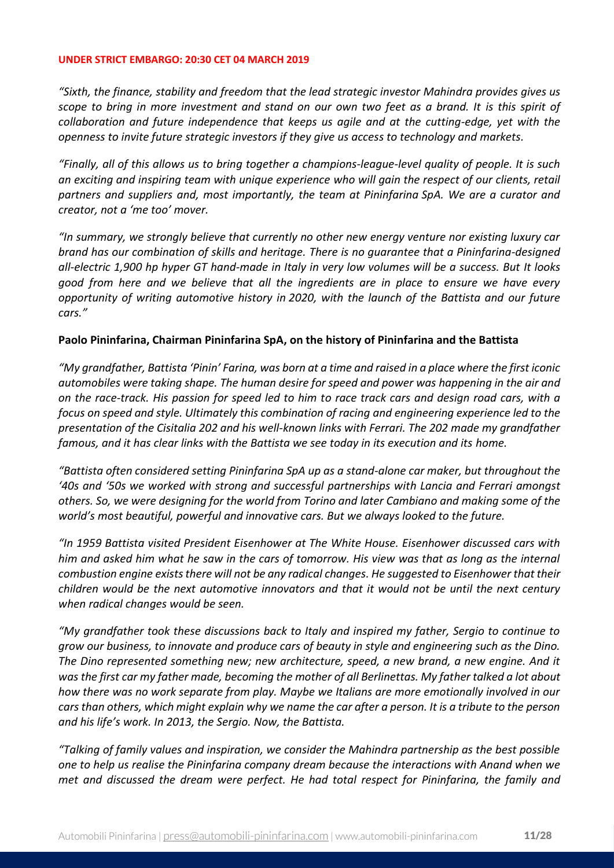*"Sixth, the finance, stability and freedom that the lead strategic investor Mahindra provides gives us scope to bring in more investment and stand on our own two feet as a brand. It is this spirit of collaboration and future independence that keeps us agile and at the cutting-edge, yet with the openness to invite future strategic investors if they give us access to technology and markets.*

*"Finally, all of this allows us to bring together a champions-league-level quality of people. It is such an exciting and inspiring team with unique experience who will gain the respect of our clients, retail partners and suppliers and, most importantly, the team at Pininfarina SpA. We are a curator and creator, not a 'me too' mover.*

*"In summary, we strongly believe that currently no other new energy venture nor existing luxury car brand has our combination of skills and heritage. There is no guarantee that a Pininfarina-designed all-electric 1,900 hp hyper GT hand-made in Italy in very low volumes will be a success. But It looks good from here and we believe that all the ingredients are in place to ensure we have every opportunity of writing automotive history in 2020, with the launch of the Battista and our future cars."*

## **Paolo Pininfarina, Chairman Pininfarina SpA, on the history of Pininfarina and the Battista**

*"My grandfather, Battista 'Pinin' Farina, was born at a time and raised in a place where the first iconic automobiles were taking shape. The human desire for speed and power was happening in the air and on the race-track. His passion for speed led to him to race track cars and design road cars, with a focus on speed and style. Ultimately this combination of racing and engineering experience led to the presentation of the Cisitalia 202 and his well-known links with Ferrari. The 202 made my grandfather famous, and it has clear links with the Battista we see today in its execution and its home.* 

*"Battista often considered setting Pininfarina SpA up as a stand-alone car maker, but throughout the '40s and '50s we worked with strong and successful partnerships with Lancia and Ferrari amongst others. So, we were designing for the world from Torino and later Cambiano and making some of the world's most beautiful, powerful and innovative cars. But we always looked to the future.* 

*"In 1959 Battista visited President Eisenhower at The White House. Eisenhower discussed cars with him and asked him what he saw in the cars of tomorrow. His view was that as long as the internal combustion engine exists there will not be any radical changes. He suggested to Eisenhower that their children would be the next automotive innovators and that it would not be until the next century when radical changes would be seen.* 

*"My grandfather took these discussions back to Italy and inspired my father, Sergio to continue to grow our business, to innovate and produce cars of beauty in style and engineering such as the Dino. The Dino represented something new; new architecture, speed, a new brand, a new engine. And it was the first car my father made, becoming the mother of all Berlinettas. My father talked a lot about how there was no work separate from play. Maybe we Italians are more emotionally involved in our cars than others, which might explain why we name the car after a person. It is a tribute to the person and his life's work. In 2013, the Sergio. Now, the Battista.*

*"Talking of family values and inspiration, we consider the Mahindra partnership as the best possible one to help us realise the Pininfarina company dream because the interactions with Anand when we met and discussed the dream were perfect. He had total respect for Pininfarina, the family and*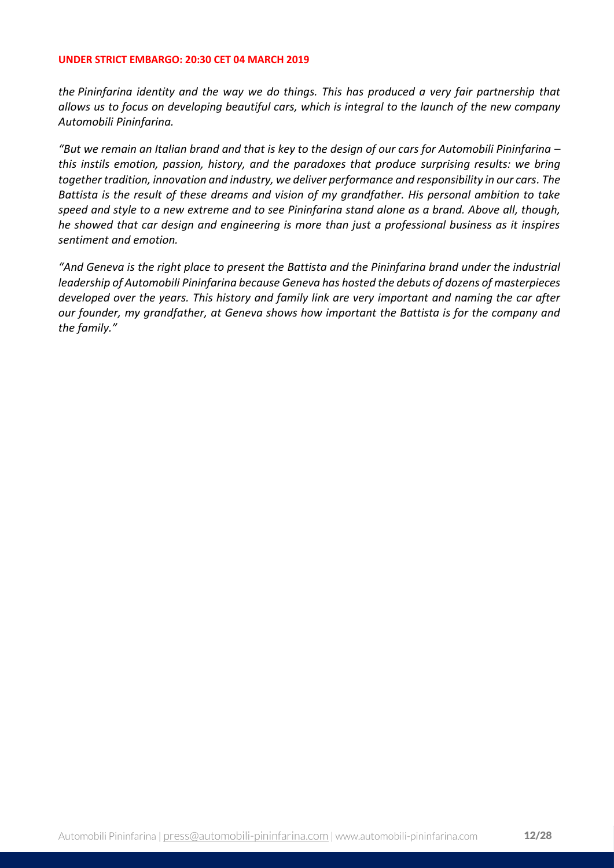*the Pininfarina identity and the way we do things. This has produced a very fair partnership that allows us to focus on developing beautiful cars, which is integral to the launch of the new company Automobili Pininfarina.* 

*"But we remain an Italian brand and that is key to the design of our cars for Automobili Pininfarina – this instils emotion, passion, history, and the paradoxes that produce surprising results: we bring together tradition, innovation and industry, we deliver performance and responsibility in our cars. The Battista is the result of these dreams and vision of my grandfather. His personal ambition to take speed and style to a new extreme and to see Pininfarina stand alone as a brand. Above all, though, he showed that car design and engineering is more than just a professional business as it inspires sentiment and emotion.* 

*"And Geneva is the right place to present the Battista and the Pininfarina brand under the industrial leadership of Automobili Pininfarina because Geneva has hosted the debuts of dozens of masterpieces developed over the years. This history and family link are very important and naming the car after our founder, my grandfather, at Geneva shows how important the Battista is for the company and the family."*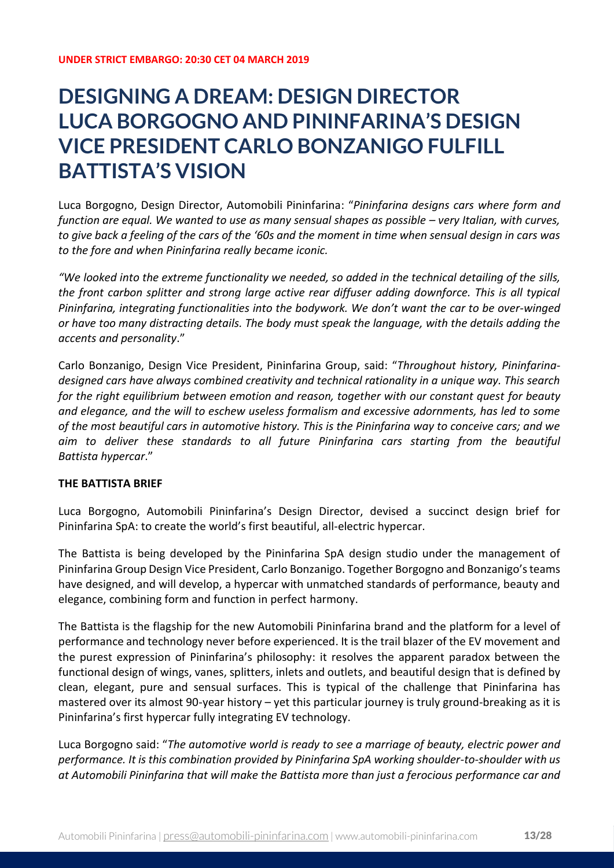## **DESIGNING A DREAM: DESIGN DIRECTOR LUCA BORGOGNO AND PININFARINA'S DESIGN VICE PRESIDENT CARLO BONZANIGO FULFILL BATTISTA'S VISION**

Luca Borgogno, Design Director, Automobili Pininfarina: "*Pininfarina designs cars where form and function are equal. We wanted to use as many sensual shapes as possible – very Italian, with curves, to give back a feeling of the cars of the '60s and the moment in time when sensual design in cars was to the fore and when Pininfarina really became iconic.*

*"We looked into the extreme functionality we needed, so added in the technical detailing of the sills, the front carbon splitter and strong large active rear diffuser adding downforce. This is all typical Pininfarina, integrating functionalities into the bodywork. We don't want the car to be over-winged or have too many distracting details. The body must speak the language, with the details adding the accents and personality*."

Carlo Bonzanigo, Design Vice President, Pininfarina Group, said: "*Throughout history, Pininfarinadesigned cars have always combined creativity and technical rationality in a unique way. This search for the right equilibrium between emotion and reason, together with our constant quest for beauty and elegance, and the will to eschew useless formalism and excessive adornments, has led to some of the most beautiful cars in automotive history. This is the Pininfarina way to conceive cars; and we aim to deliver these standards to all future Pininfarina cars starting from the beautiful Battista hypercar*."

## **THE BATTISTA BRIEF**

Luca Borgogno, Automobili Pininfarina's Design Director, devised a succinct design brief for Pininfarina SpA: to create the world's first beautiful, all-electric hypercar.

The Battista is being developed by the Pininfarina SpA design studio under the management of Pininfarina Group Design Vice President, Carlo Bonzanigo. Together Borgogno and Bonzanigo's teams have designed, and will develop, a hypercar with unmatched standards of performance, beauty and elegance, combining form and function in perfect harmony.

The Battista is the flagship for the new Automobili Pininfarina brand and the platform for a level of performance and technology never before experienced. It is the trail blazer of the EV movement and the purest expression of Pininfarina's philosophy: it resolves the apparent paradox between the functional design of wings, vanes, splitters, inlets and outlets, and beautiful design that is defined by clean, elegant, pure and sensual surfaces. This is typical of the challenge that Pininfarina has mastered over its almost 90-year history – yet this particular journey is truly ground-breaking as it is Pininfarina's first hypercar fully integrating EV technology.

Luca Borgogno said: "*The automotive world is ready to see a marriage of beauty, electric power and performance. It is this combination provided by Pininfarina SpA working shoulder-to-shoulder with us at Automobili Pininfarina that will make the Battista more than just a ferocious performance car and*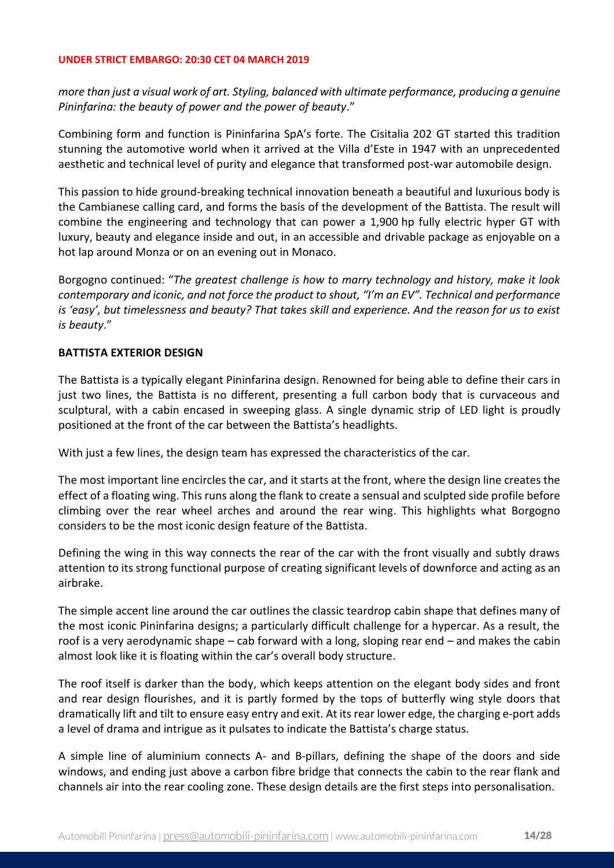*more than just a visual work of art. Styling, balanced with ultimate performance, producing a genuine Pininfarina: the beauty of power and the power of beauty*."

Combining form and function is Pininfarina SpA's forte. The Cisitalia 202 GT started this tradition stunning the automotive world when it arrived at the Villa d'Este in 1947 with an unprecedented aesthetic and technical level of purity and elegance that transformed post-war automobile design.

This passion to hide ground-breaking technical innovation beneath a beautiful and luxurious body is the Cambianese calling card, and forms the basis of the development of the Battista. The result will combine the engineering and technology that can power a 1,900 hp fully electric hyper GT with luxury, beauty and elegance inside and out, in an accessible and drivable package as enjoyable on a hot lap around Monza or on an evening out in Monaco.

Borgogno continued: "*The greatest challenge is how to marry technology and history, make it look contemporary and iconic, and not force the product to shout, "I'm an EV". Technical and performance is 'easy', but timelessness and beauty? That takes skill and experience. And the reason for us to exist is beauty*."

## **BATTISTA EXTERIOR DESIGN**

The Battista is a typically elegant Pininfarina design. Renowned for being able to define their cars in just two lines, the Battista is no different, presenting a full carbon body that is curvaceous and sculptural, with a cabin encased in sweeping glass. A single dynamic strip of LED light is proudly positioned at the front of the car between the Battista's headlights.

With just a few lines, the design team has expressed the characteristics of the car.

The most important line encircles the car, and it starts at the front, where the design line creates the effect of a floating wing. This runs along the flank to create a sensual and sculpted side profile before climbing over the rear wheel arches and around the rear wing. This highlights what Borgogno considers to be the most iconic design feature of the Battista.

Defining the wing in this way connects the rear of the car with the front visually and subtly draws attention to its strong functional purpose of creating significant levels of downforce and acting as an airbrake.

The simple accent line around the car outlines the classic teardrop cabin shape that defines many of the most iconic Pininfarina designs; a particularly difficult challenge for a hypercar. As a result, the roof is a very aerodynamic shape – cab forward with a long, sloping rear end – and makes the cabin almost look like it is floating within the car's overall body structure.

The roof itself is darker than the body, which keeps attention on the elegant body sides and front and rear design flourishes, and it is partly formed by the tops of butterfly wing style doors that dramatically lift and tilt to ensure easy entry and exit. At its rear lower edge, the charging e-port adds a level of drama and intrigue as it pulsates to indicate the Battista's charge status.

A simple line of aluminium connects A- and B-pillars, defining the shape of the doors and side windows, and ending just above a carbon fibre bridge that connects the cabin to the rear flank and channels air into the rear cooling zone. These design details are the first steps into personalisation.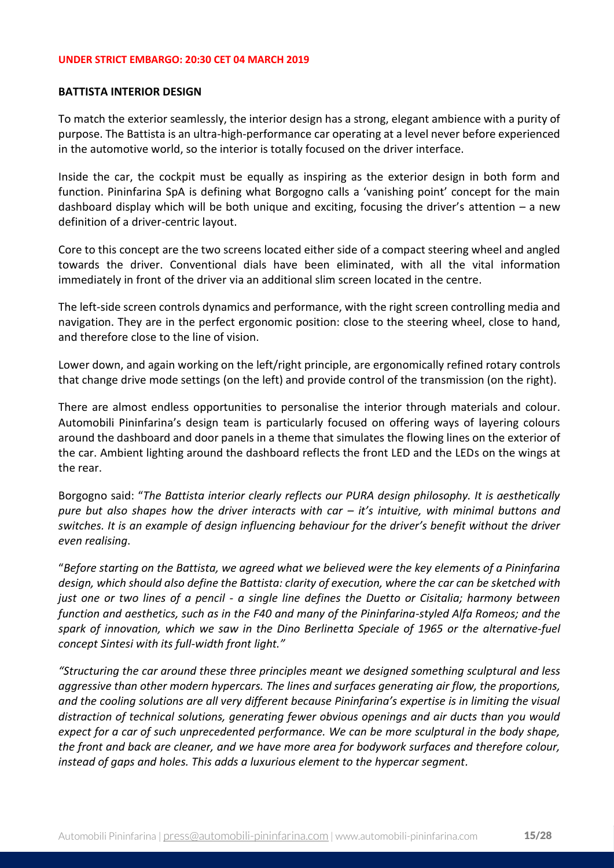### **BATTISTA INTERIOR DESIGN**

To match the exterior seamlessly, the interior design has a strong, elegant ambience with a purity of purpose. The Battista is an ultra-high-performance car operating at a level never before experienced in the automotive world, so the interior is totally focused on the driver interface.

Inside the car, the cockpit must be equally as inspiring as the exterior design in both form and function. Pininfarina SpA is defining what Borgogno calls a 'vanishing point' concept for the main dashboard display which will be both unique and exciting, focusing the driver's attention  $-$  a new definition of a driver-centric layout.

Core to this concept are the two screens located either side of a compact steering wheel and angled towards the driver. Conventional dials have been eliminated, with all the vital information immediately in front of the driver via an additional slim screen located in the centre.

The left-side screen controls dynamics and performance, with the right screen controlling media and navigation. They are in the perfect ergonomic position: close to the steering wheel, close to hand, and therefore close to the line of vision.

Lower down, and again working on the left/right principle, are ergonomically refined rotary controls that change drive mode settings (on the left) and provide control of the transmission (on the right).

There are almost endless opportunities to personalise the interior through materials and colour. Automobili Pininfarina's design team is particularly focused on offering ways of layering colours around the dashboard and door panels in a theme that simulates the flowing lines on the exterior of the car. Ambient lighting around the dashboard reflects the front LED and the LEDs on the wings at the rear.

Borgogno said: "*The Battista interior clearly reflects our PURA design philosophy. It is aesthetically pure but also shapes how the driver interacts with car – it's intuitive, with minimal buttons and switches. It is an example of design influencing behaviour for the driver's benefit without the driver even realising*.

"*Before starting on the Battista, we agreed what we believed were the key elements of a Pininfarina design, which should also define the Battista: clarity of execution, where the car can be sketched with just one or two lines of a pencil - a single line defines the Duetto or Cisitalia; harmony between function and aesthetics, such as in the F40 and many of the Pininfarina-styled Alfa Romeos; and the spark of innovation, which we saw in the Dino Berlinetta Speciale of 1965 or the alternative-fuel concept Sintesi with its full-width front light."*

*"Structuring the car around these three principles meant we designed something sculptural and less aggressive than other modern hypercars. The lines and surfaces generating air flow, the proportions, and the cooling solutions are all very different because Pininfarina's expertise is in limiting the visual distraction of technical solutions, generating fewer obvious openings and air ducts than you would expect for a car of such unprecedented performance. We can be more sculptural in the body shape, the front and back are cleaner, and we have more area for bodywork surfaces and therefore colour, instead of gaps and holes. This adds a luxurious element to the hypercar segment.*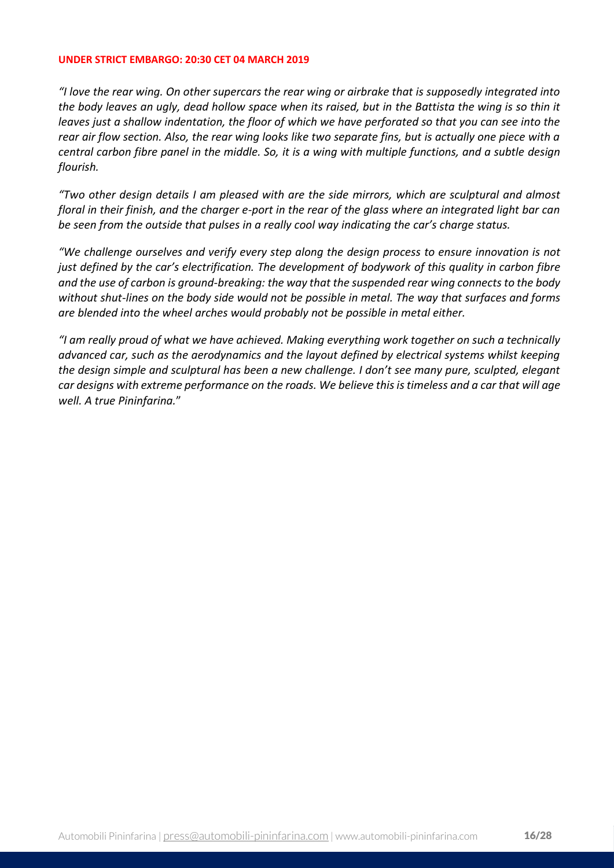*"I love the rear wing. On other supercars the rear wing or airbrake that is supposedly integrated into the body leaves an ugly, dead hollow space when its raised, but in the Battista the wing is so thin it leaves just a shallow indentation, the floor of which we have perforated so that you can see into the rear air flow section. Also, the rear wing looks like two separate fins, but is actually one piece with a central carbon fibre panel in the middle. So, it is a wing with multiple functions, and a subtle design flourish.*

*"Two other design details I am pleased with are the side mirrors, which are sculptural and almost floral in their finish, and the charger e-port in the rear of the glass where an integrated light bar can be seen from the outside that pulses in a really cool way indicating the car's charge status.* 

*"We challenge ourselves and verify every step along the design process to ensure innovation is not just defined by the car's electrification. The development of bodywork of this quality in carbon fibre and the use of carbon is ground-breaking: the way that the suspended rear wing connects to the body without shut-lines on the body side would not be possible in metal. The way that surfaces and forms are blended into the wheel arches would probably not be possible in metal either.*

*"I am really proud of what we have achieved. Making everything work together on such a technically advanced car, such as the aerodynamics and the layout defined by electrical systems whilst keeping the design simple and sculptural has been a new challenge. I don't see many pure, sculpted, elegant car designs with extreme performance on the roads. We believe this is timeless and a car that will age well. A true Pininfarina.*"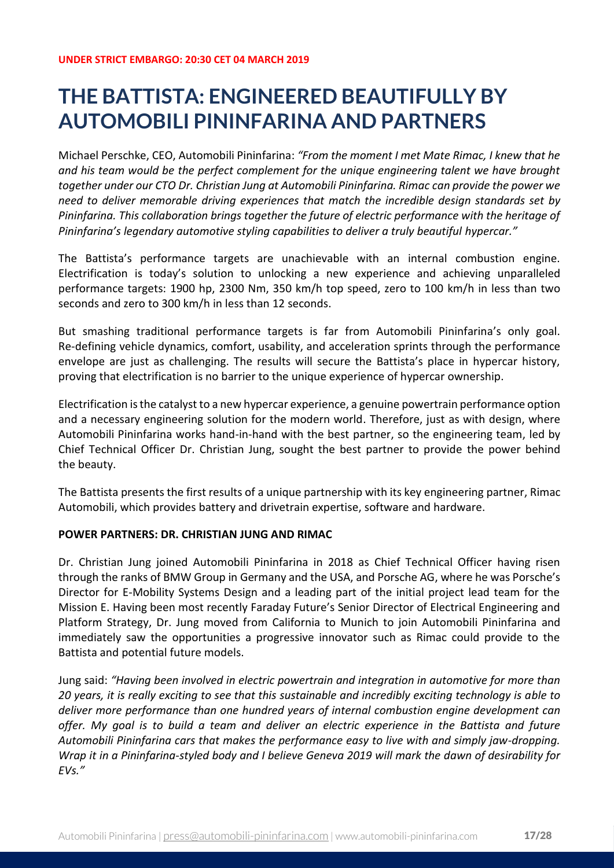## **THE BATTISTA: ENGINEERED BEAUTIFULLY BY AUTOMOBILI PININFARINA AND PARTNERS**

Michael Perschke, CEO, Automobili Pininfarina: *"From the moment I met Mate Rimac, I knew that he and his team would be the perfect complement for the unique engineering talent we have brought together under our CTO Dr. Christian Jung at Automobili Pininfarina. Rimac can provide the power we need to deliver memorable driving experiences that match the incredible design standards set by Pininfarina. This collaboration brings together the future of electric performance with the heritage of Pininfarina's legendary automotive styling capabilities to deliver a truly beautiful hypercar."*

The Battista's performance targets are unachievable with an internal combustion engine. Electrification is today's solution to unlocking a new experience and achieving unparalleled performance targets: 1900 hp, 2300 Nm, 350 km/h top speed, zero to 100 km/h in less than two seconds and zero to 300 km/h in less than 12 seconds.

But smashing traditional performance targets is far from Automobili Pininfarina's only goal. Re-defining vehicle dynamics, comfort, usability, and acceleration sprints through the performance envelope are just as challenging. The results will secure the Battista's place in hypercar history, proving that electrification is no barrier to the unique experience of hypercar ownership.

Electrification is the catalyst to a new hypercar experience, a genuine powertrain performance option and a necessary engineering solution for the modern world. Therefore, just as with design, where Automobili Pininfarina works hand-in-hand with the best partner, so the engineering team, led by Chief Technical Officer Dr. Christian Jung, sought the best partner to provide the power behind the beauty.

The Battista presents the first results of a unique partnership with its key engineering partner, Rimac Automobili, which provides battery and drivetrain expertise, software and hardware.

## **POWER PARTNERS: DR. CHRISTIAN JUNG AND RIMAC**

Dr. Christian Jung joined Automobili Pininfarina in 2018 as Chief Technical Officer having risen through the ranks of BMW Group in Germany and the USA, and Porsche AG, where he was Porsche's Director for E-Mobility Systems Design and a leading part of the initial project lead team for the Mission E. Having been most recently Faraday Future's Senior Director of Electrical Engineering and Platform Strategy, Dr. Jung moved from California to Munich to join Automobili Pininfarina and immediately saw the opportunities a progressive innovator such as Rimac could provide to the Battista and potential future models.

Jung said: *"Having been involved in electric powertrain and integration in automotive for more than 20 years, it is really exciting to see that this sustainable and incredibly exciting technology is able to deliver more performance than one hundred years of internal combustion engine development can offer. My goal is to build a team and deliver an electric experience in the Battista and future Automobili Pininfarina cars that makes the performance easy to live with and simply jaw-dropping. Wrap it in a Pininfarina-styled body and I believe Geneva 2019 will mark the dawn of desirability for EVs."*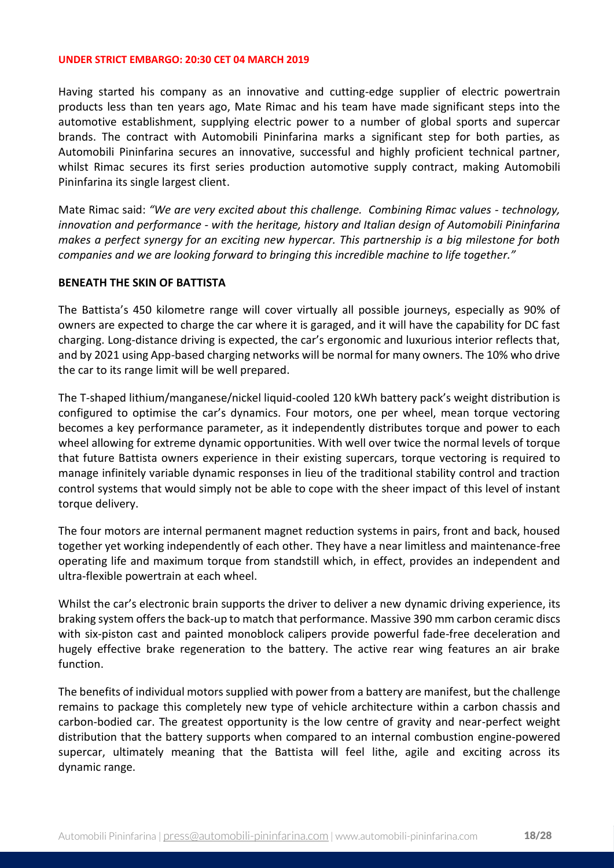Having started his company as an innovative and cutting-edge supplier of electric powertrain products less than ten years ago, Mate Rimac and his team have made significant steps into the automotive establishment, supplying electric power to a number of global sports and supercar brands. The contract with Automobili Pininfarina marks a significant step for both parties, as Automobili Pininfarina secures an innovative, successful and highly proficient technical partner, whilst Rimac secures its first series production automotive supply contract, making Automobili Pininfarina its single largest client.

Mate Rimac said: *"We are very excited about this challenge. Combining Rimac values - technology, innovation and performance - with the heritage, history and Italian design of Automobili Pininfarina makes a perfect synergy for an exciting new hypercar. This partnership is a big milestone for both companies and we are looking forward to bringing this incredible machine to life together."* 

### **BENEATH THE SKIN OF BATTISTA**

The Battista's 450 kilometre range will cover virtually all possible journeys, especially as 90% of owners are expected to charge the car where it is garaged, and it will have the capability for DC fast charging. Long-distance driving is expected, the car's ergonomic and luxurious interior reflects that, and by 2021 using App-based charging networks will be normal for many owners. The 10% who drive the car to its range limit will be well prepared.

The T-shaped lithium/manganese/nickel liquid-cooled 120 kWh battery pack's weight distribution is configured to optimise the car's dynamics. Four motors, one per wheel, mean torque vectoring becomes a key performance parameter, as it independently distributes torque and power to each wheel allowing for extreme dynamic opportunities. With well over twice the normal levels of torque that future Battista owners experience in their existing supercars, torque vectoring is required to manage infinitely variable dynamic responses in lieu of the traditional stability control and traction control systems that would simply not be able to cope with the sheer impact of this level of instant torque delivery.

The four motors are internal permanent magnet reduction systems in pairs, front and back, housed together yet working independently of each other. They have a near limitless and maintenance-free operating life and maximum torque from standstill which, in effect, provides an independent and ultra-flexible powertrain at each wheel.

Whilst the car's electronic brain supports the driver to deliver a new dynamic driving experience, its braking system offers the back-up to match that performance. Massive 390 mm carbon ceramic discs with six-piston cast and painted monoblock calipers provide powerful fade-free deceleration and hugely effective brake regeneration to the battery. The active rear wing features an air brake function.

The benefits of individual motors supplied with power from a battery are manifest, but the challenge remains to package this completely new type of vehicle architecture within a carbon chassis and carbon-bodied car. The greatest opportunity is the low centre of gravity and near-perfect weight distribution that the battery supports when compared to an internal combustion engine-powered supercar, ultimately meaning that the Battista will feel lithe, agile and exciting across its dynamic range.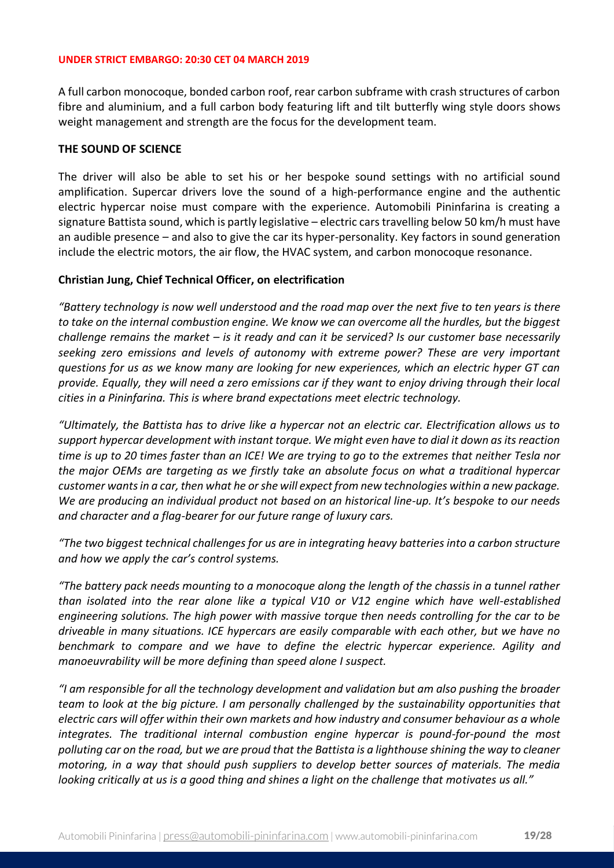A full carbon monocoque, bonded carbon roof, rear carbon subframe with crash structures of carbon fibre and aluminium, and a full carbon body featuring lift and tilt butterfly wing style doors shows weight management and strength are the focus for the development team.

### **THE SOUND OF SCIENCE**

The driver will also be able to set his or her bespoke sound settings with no artificial sound amplification. Supercar drivers love the sound of a high-performance engine and the authentic electric hypercar noise must compare with the experience. Automobili Pininfarina is creating a signature Battista sound, which is partly legislative – electric cars travelling below 50 km/h must have an audible presence – and also to give the car its hyper-personality. Key factors in sound generation include the electric motors, the air flow, the HVAC system, and carbon monocoque resonance.

## **Christian Jung, Chief Technical Officer, on electrification**

*"Battery technology is now well understood and the road map over the next five to ten years is there to take on the internal combustion engine. We know we can overcome all the hurdles, but the biggest challenge remains the market – is it ready and can it be serviced? Is our customer base necessarily seeking zero emissions and levels of autonomy with extreme power? These are very important questions for us as we know many are looking for new experiences, which an electric hyper GT can provide. Equally, they will need a zero emissions car if they want to enjoy driving through their local cities in a Pininfarina. This is where brand expectations meet electric technology.* 

*"Ultimately, the Battista has to drive like a hypercar not an electric car. Electrification allows us to support hypercar development with instant torque. We might even have to dial it down as its reaction time is up to 20 times faster than an ICE! We are trying to go to the extremes that neither Tesla nor the major OEMs are targeting as we firstly take an absolute focus on what a traditional hypercar customer wants in a car, then what he or she will expect from new technologies within a new package. We are producing an individual product not based on an historical line-up. It's bespoke to our needs and character and a flag-bearer for our future range of luxury cars.* 

*"The two biggest technical challenges for us are in integrating heavy batteries into a carbon structure and how we apply the car's control systems.*

*"The battery pack needs mounting to a monocoque along the length of the chassis in a tunnel rather than isolated into the rear alone like a typical V10 or V12 engine which have well-established engineering solutions. The high power with massive torque then needs controlling for the car to be driveable in many situations. ICE hypercars are easily comparable with each other, but we have no benchmark to compare and we have to define the electric hypercar experience. Agility and manoeuvrability will be more defining than speed alone I suspect.*

*"I am responsible for all the technology development and validation but am also pushing the broader team to look at the big picture. I am personally challenged by the sustainability opportunities that electric cars will offer within their own markets and how industry and consumer behaviour as a whole integrates. The traditional internal combustion engine hypercar is pound-for-pound the most polluting car on the road, but we are proud that the Battista is a lighthouse shining the way to cleaner motoring, in a way that should push suppliers to develop better sources of materials. The media looking critically at us is a good thing and shines a light on the challenge that motivates us all."*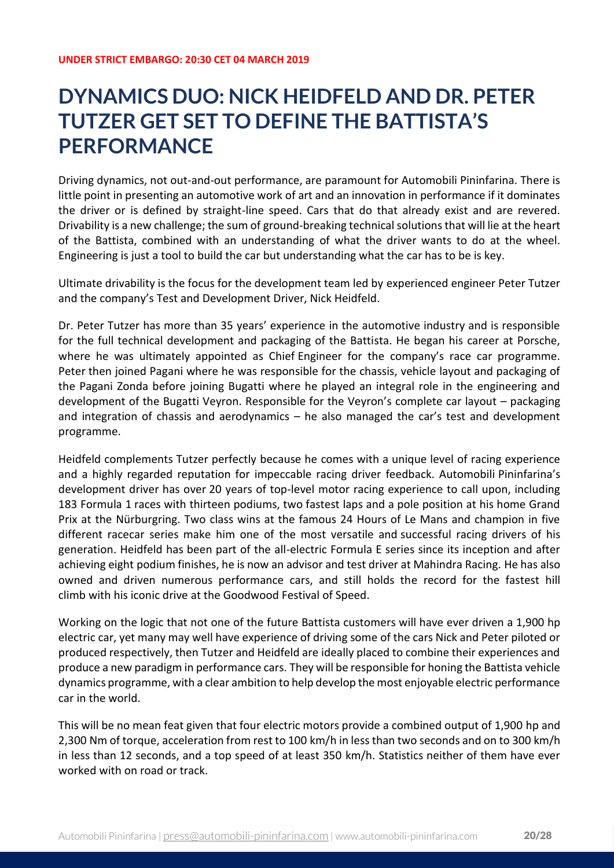## **DYNAMICS DUO: NICK HEIDFELD AND DR. PETER TUTZER GET SET TO DEFINE THE BATTISTA'S PERFORMANCE**

Driving dynamics, not out-and-out performance, are paramount for Automobili Pininfarina. There is little point in presenting an automotive work of art and an innovation in performance if it dominates the driver or is defined by straight-line speed. Cars that do that already exist and are revered. Drivability is a new challenge; the sum of ground-breaking technical solutions that will lie at the heart of the Battista, combined with an understanding of what the driver wants to do at the wheel. Engineering is just a tool to build the car but understanding what the car has to be is key.

Ultimate drivability is the focus for the development team led by experienced engineer Peter Tutzer and the company's Test and Development Driver, Nick Heidfeld.

Dr. Peter Tutzer has more than 35 years' experience in the automotive industry and is responsible for the full technical development and packaging of the Battista. He began his career at Porsche, where he was ultimately appointed as Chief Engineer for the company's race car programme. Peter then joined Pagani where he was responsible for the chassis, vehicle layout and packaging of the Pagani Zonda before joining Bugatti where he played an integral role in the engineering and development of the Bugatti Veyron. Responsible for the Veyron's complete car layout – packaging and integration of chassis and aerodynamics – he also managed the car's test and development programme.

Heidfeld complements Tutzer perfectly because he comes with a unique level of racing experience and a highly regarded reputation for impeccable racing driver feedback. Automobili Pininfarina's development driver has over 20 years of top-level motor racing experience to call upon, including 183 Formula 1 races with thirteen podiums, two fastest laps and a pole position at his home Grand Prix at the Nürburgring. Two class wins at the famous 24 Hours of Le Mans and champion in five different racecar series make him one of the most versatile and successful racing drivers of his generation. Heidfeld has been part of the all-electric Formula E series since its inception and after achieving eight podium finishes, he is now an advisor and test driver at Mahindra Racing. He has also owned and driven numerous performance cars, and still holds the record for the fastest hill climb with his iconic drive at the Goodwood Festival of Speed.

Working on the logic that not one of the future Battista customers will have ever driven a 1,900 hp electric car, yet many may well have experience of driving some of the cars Nick and Peter piloted or produced respectively, then Tutzer and Heidfeld are ideally placed to combine their experiences and produce a new paradigm in performance cars. They will be responsible for honing the Battista vehicle dynamics programme, with a clear ambition to help develop the most enjoyable electric performance car in the world.

This will be no mean feat given that four electric motors provide a combined output of 1,900 hp and 2,300 Nm of torque, acceleration from rest to 100 km/h in less than two seconds and on to 300 km/h in less than 12 seconds, and a top speed of at least 350 km/h. Statistics neither of them have ever worked with on road or track.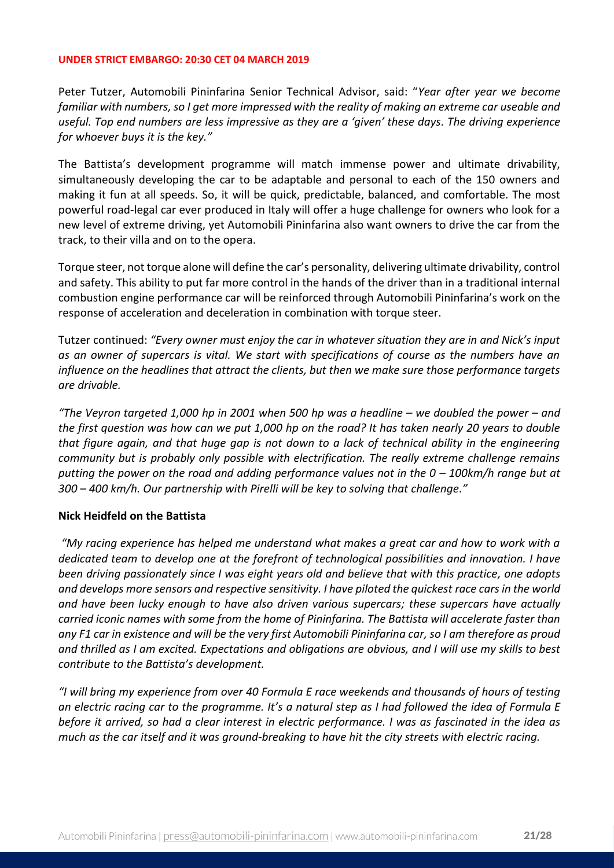Peter Tutzer, Automobili Pininfarina Senior Technical Advisor, said: "*Year after year we become familiar with numbers, so I get more impressed with the reality of making an extreme car useable and useful. Top end numbers are less impressive as they are a 'given' these days. The driving experience for whoever buys it is the key."*

The Battista's development programme will match immense power and ultimate drivability, simultaneously developing the car to be adaptable and personal to each of the 150 owners and making it fun at all speeds. So, it will be quick, predictable, balanced, and comfortable. The most powerful road-legal car ever produced in Italy will offer a huge challenge for owners who look for a new level of extreme driving, yet Automobili Pininfarina also want owners to drive the car from the track, to their villa and on to the opera.

Torque steer, not torque alone will define the car's personality, delivering ultimate drivability, control and safety. This ability to put far more control in the hands of the driver than in a traditional internal combustion engine performance car will be reinforced through Automobili Pininfarina's work on the response of acceleration and deceleration in combination with torque steer.

Tutzer continued: *"Every owner must enjoy the car in whatever situation they are in and Nick's input as an owner of supercars is vital. We start with specifications of course as the numbers have an influence on the headlines that attract the clients, but then we make sure those performance targets are drivable.* 

*"The Veyron targeted 1,000 hp in 2001 when 500 hp was a headline – we doubled the power – and the first question was how can we put 1,000 hp on the road? It has taken nearly 20 years to double that figure again, and that huge gap is not down to a lack of technical ability in the engineering community but is probably only possible with electrification. The really extreme challenge remains putting the power on the road and adding performance values not in the 0 – 100km/h range but at 300 – 400 km/h. Our partnership with Pirelli will be key to solving that challenge."*

## **Nick Heidfeld on the Battista**

*"My racing experience has helped me understand what makes a great car and how to work with a dedicated team to develop one at the forefront of technological possibilities and innovation. I have been driving passionately since I was eight years old and believe that with this practice, one adopts and develops more sensors and respective sensitivity. I have piloted the quickest race cars in the world and have been lucky enough to have also driven various supercars; these supercars have actually carried iconic names with some from the home of Pininfarina. The Battista will accelerate faster than any F1 car in existence and will be the very first Automobili Pininfarina car, so I am therefore as proud and thrilled as I am excited. Expectations and obligations are obvious, and I will use my skills to best contribute to the Battista's development.*

*"I will bring my experience from over 40 Formula E race weekends and thousands of hours of testing an electric racing car to the programme. It's a natural step as I had followed the idea of Formula E before it arrived, so had a clear interest in electric performance. I was as fascinated in the idea as much as the car itself and it was ground-breaking to have hit the city streets with electric racing.*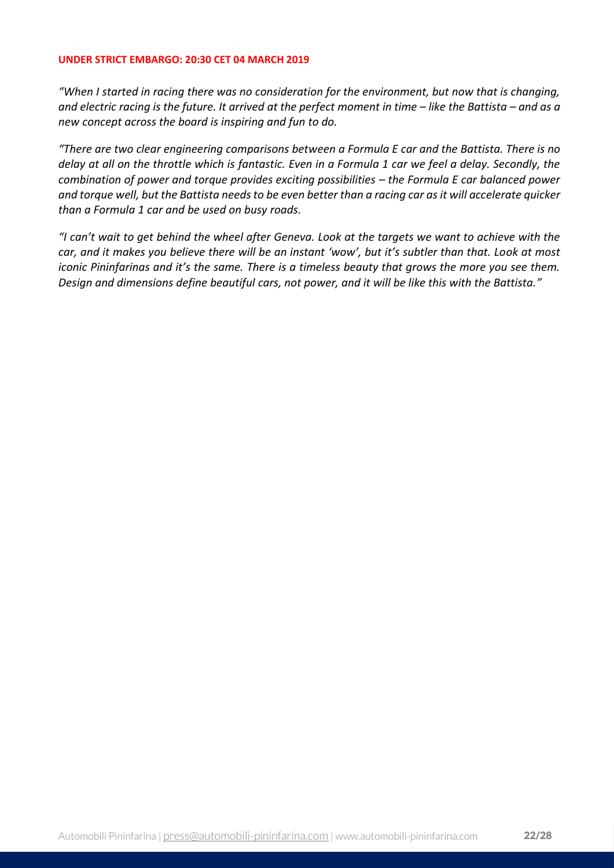*"When I started in racing there was no consideration for the environment, but now that is changing, and electric racing is the future. It arrived at the perfect moment in time – like the Battista – and as a new concept across the board is inspiring and fun to do.* 

*"There are two clear engineering comparisons between a Formula E car and the Battista. There is no delay at all on the throttle which is fantastic. Even in a Formula 1 car we feel a delay. Secondly, the combination of power and torque provides exciting possibilities – the Formula E car balanced power and torque well, but the Battista needs to be even better than a racing car as it will accelerate quicker than a Formula 1 car and be used on busy roads.*

*"I can't wait to get behind the wheel after Geneva. Look at the targets we want to achieve with the car, and it makes you believe there will be an instant 'wow', but it's subtler than that. Look at most iconic Pininfarinas and it's the same. There is a timeless beauty that grows the more you see them. Design and dimensions define beautiful cars, not power, and it will be like this with the Battista."*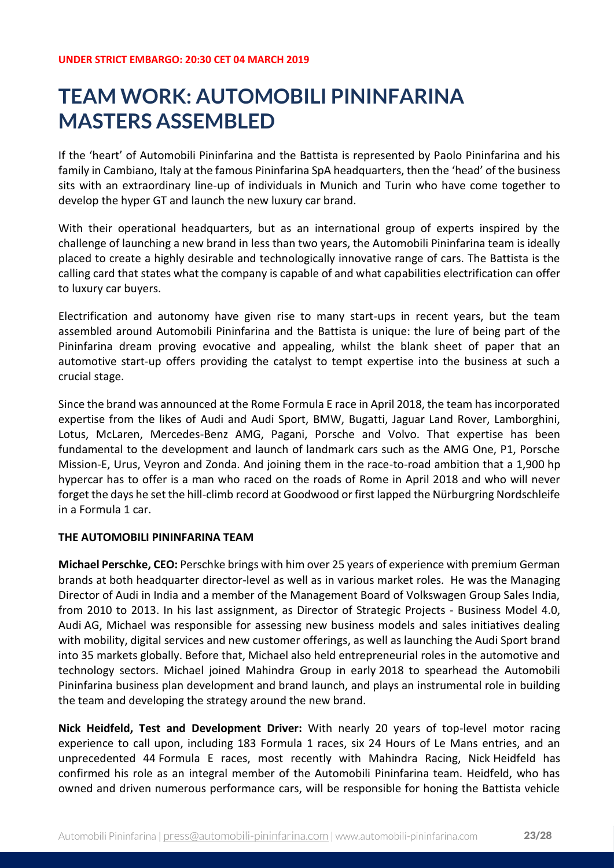## **TEAM WORK: AUTOMOBILI PININFARINA MASTERS ASSEMBLED**

If the 'heart' of Automobili Pininfarina and the Battista is represented by Paolo Pininfarina and his family in Cambiano, Italy at the famous Pininfarina SpA headquarters, then the 'head' of the business sits with an extraordinary line-up of individuals in Munich and Turin who have come together to develop the hyper GT and launch the new luxury car brand.

With their operational headquarters, but as an international group of experts inspired by the challenge of launching a new brand in less than two years, the Automobili Pininfarina team is ideally placed to create a highly desirable and technologically innovative range of cars. The Battista is the calling card that states what the company is capable of and what capabilities electrification can offer to luxury car buyers.

Electrification and autonomy have given rise to many start-ups in recent years, but the team assembled around Automobili Pininfarina and the Battista is unique: the lure of being part of the Pininfarina dream proving evocative and appealing, whilst the blank sheet of paper that an automotive start-up offers providing the catalyst to tempt expertise into the business at such a crucial stage.

Since the brand was announced at the Rome Formula E race in April 2018, the team has incorporated expertise from the likes of Audi and Audi Sport, BMW, Bugatti, Jaguar Land Rover, Lamborghini, Lotus, McLaren, Mercedes-Benz AMG, Pagani, Porsche and Volvo. That expertise has been fundamental to the development and launch of landmark cars such as the AMG One, P1, Porsche Mission-E, Urus, Veyron and Zonda. And joining them in the race-to-road ambition that a 1,900 hp hypercar has to offer is a man who raced on the roads of Rome in April 2018 and who will never forget the days he set the hill-climb record at Goodwood or first lapped the Nürburgring Nordschleife in a Formula 1 car.

## **THE AUTOMOBILI PININFARINA TEAM**

**Michael Perschke, CEO:** Perschke brings with him over 25 years of experience with premium German brands at both headquarter director-level as well as in various market roles. He was the Managing Director of Audi in India and a member of the Management Board of Volkswagen Group Sales India, from 2010 to 2013. In his last assignment, as Director of Strategic Projects - Business Model 4.0, Audi AG, Michael was responsible for assessing new business models and sales initiatives dealing with mobility, digital services and new customer offerings, as well as launching the Audi Sport brand into 35 markets globally. Before that, Michael also held entrepreneurial roles in the automotive and technology sectors. Michael joined Mahindra Group in early 2018 to spearhead the Automobili Pininfarina business plan development and brand launch, and plays an instrumental role in building the team and developing the strategy around the new brand.

**Nick Heidfeld, Test and Development Driver:** With nearly 20 years of top-level motor racing experience to call upon, including 183 Formula 1 races, six 24 Hours of Le Mans entries, and an unprecedented 44 Formula E races, most recently with Mahindra Racing, Nick Heidfeld has confirmed his role as an integral member of the Automobili Pininfarina team. Heidfeld, who has owned and driven numerous performance cars, will be responsible for honing the Battista vehicle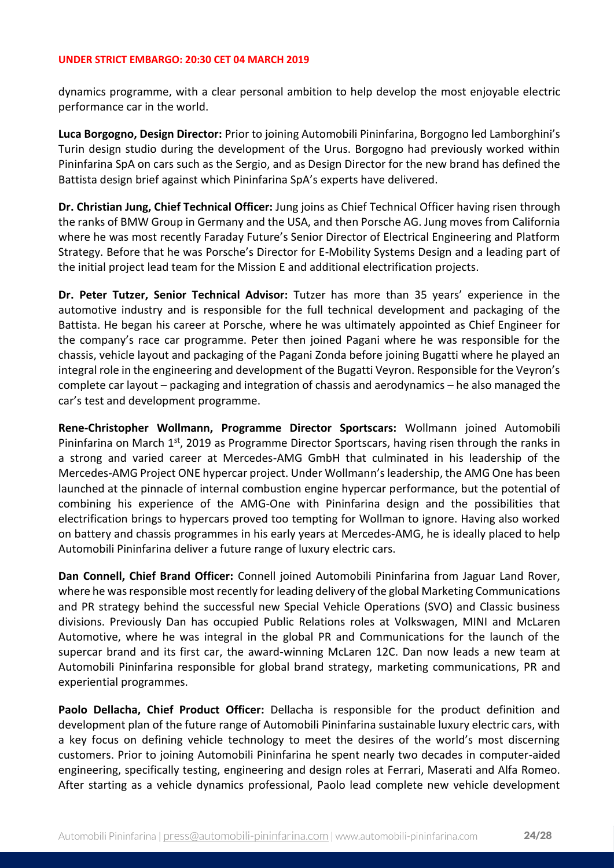dynamics programme, with a clear personal ambition to help develop the most enjoyable electric performance car in the world.

**Luca Borgogno, Design Director:** Prior to joining Automobili Pininfarina, Borgogno led Lamborghini's Turin design studio during the development of the Urus. Borgogno had previously worked within Pininfarina SpA on cars such as the Sergio, and as Design Director for the new brand has defined the Battista design brief against which Pininfarina SpA's experts have delivered.

**Dr. Christian Jung, Chief Technical Officer:** Jung joins as Chief Technical Officer having risen through the ranks of BMW Group in Germany and the USA, and then Porsche AG. Jung moves from California where he was most recently Faraday Future's Senior Director of Electrical Engineering and Platform Strategy. Before that he was Porsche's Director for E-Mobility Systems Design and a leading part of the initial project lead team for the Mission E and additional electrification projects.

**Dr. Peter Tutzer, Senior Technical Advisor:** Tutzer has more than 35 years' experience in the automotive industry and is responsible for the full technical development and packaging of the Battista. He began his career at Porsche, where he was ultimately appointed as Chief Engineer for the company's race car programme. Peter then joined Pagani where he was responsible for the chassis, vehicle layout and packaging of the Pagani Zonda before joining Bugatti where he played an integral role in the engineering and development of the Bugatti Veyron. Responsible for the Veyron's complete car layout – packaging and integration of chassis and aerodynamics – he also managed the car's test and development programme.

**Rene-Christopher Wollmann, Programme Director Sportscars:** Wollmann joined Automobili Pininfarina on March 1<sup>st</sup>, 2019 as Programme Director Sportscars, having risen through the ranks in a strong and varied career at Mercedes-AMG GmbH that culminated in his leadership of the Mercedes-AMG Project ONE hypercar project. Under Wollmann's leadership, the AMG One has been launched at the pinnacle of internal combustion engine hypercar performance, but the potential of combining his experience of the AMG-One with Pininfarina design and the possibilities that electrification brings to hypercars proved too tempting for Wollman to ignore. Having also worked on battery and chassis programmes in his early years at Mercedes-AMG, he is ideally placed to help Automobili Pininfarina deliver a future range of luxury electric cars.

**Dan Connell, Chief Brand Officer:** Connell joined Automobili Pininfarina from Jaguar Land Rover, where he was responsible most recently for leading delivery of the global Marketing Communications and PR strategy behind the successful new Special Vehicle Operations (SVO) and Classic business divisions. Previously Dan has occupied Public Relations roles at Volkswagen, MINI and McLaren Automotive, where he was integral in the global PR and Communications for the launch of the supercar brand and its first car, the award-winning McLaren 12C. Dan now leads a new team at Automobili Pininfarina responsible for global brand strategy, marketing communications, PR and experiential programmes.

**Paolo Dellacha, Chief Product Officer:** Dellacha is responsible for the product definition and development plan of the future range of Automobili Pininfarina sustainable luxury electric cars, with a key focus on defining vehicle technology to meet the desires of the world's most discerning customers. Prior to joining Automobili Pininfarina he spent nearly two decades in computer-aided engineering, specifically testing, engineering and design roles at Ferrari, Maserati and Alfa Romeo. After starting as a vehicle dynamics professional, Paolo lead complete new vehicle development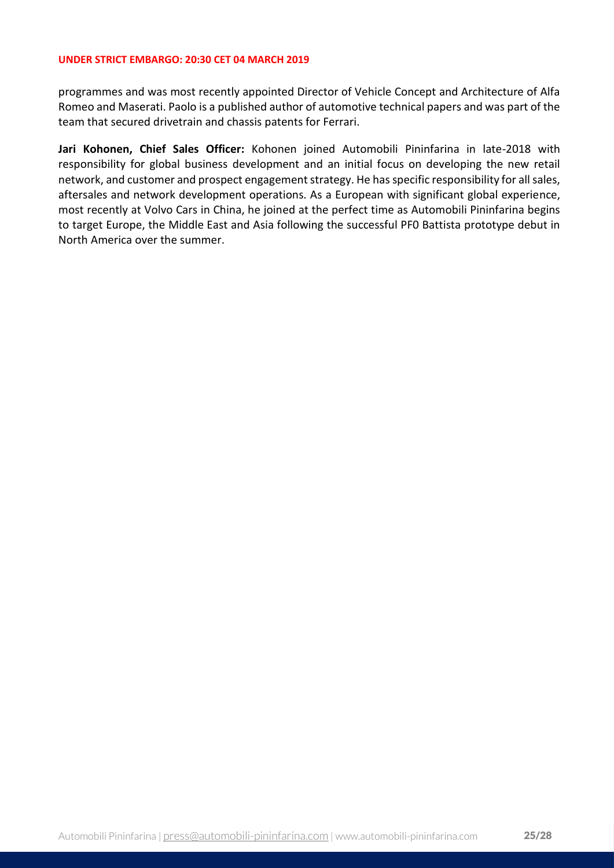programmes and was most recently appointed Director of Vehicle Concept and Architecture of Alfa Romeo and Maserati. Paolo is a published author of automotive technical papers and was part of the team that secured drivetrain and chassis patents for Ferrari.

**Jari Kohonen, Chief Sales Officer:** Kohonen joined Automobili Pininfarina in late-2018 with responsibility for global business development and an initial focus on developing the new retail network, and customer and prospect engagement strategy. He has specific responsibility for all sales, aftersales and network development operations. As a European with significant global experience, most recently at Volvo Cars in China, he joined at the perfect time as Automobili Pininfarina begins to target Europe, the Middle East and Asia following the successful PF0 Battista prototype debut in North America over the summer.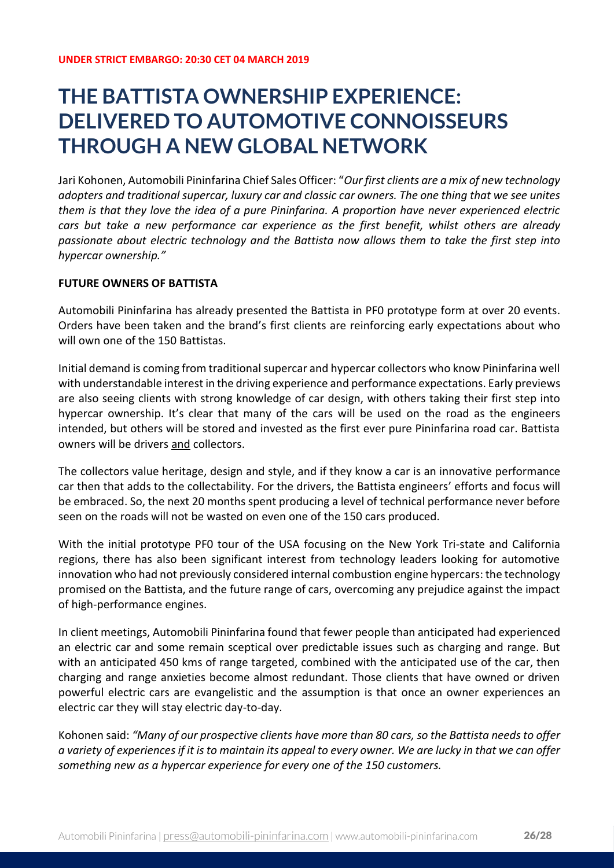## **THE BATTISTA OWNERSHIP EXPERIENCE: DELIVERED TO AUTOMOTIVE CONNOISSEURS THROUGH A NEW GLOBAL NETWORK**

Jari Kohonen, Automobili Pininfarina Chief Sales Officer: "*Our first clients are a mix of new technology adopters and traditional supercar, luxury car and classic car owners. The one thing that we see unites them is that they love the idea of a pure Pininfarina. A proportion have never experienced electric cars but take a new performance car experience as the first benefit, whilst others are already passionate about electric technology and the Battista now allows them to take the first step into hypercar ownership."*

## **FUTURE OWNERS OF BATTISTA**

Automobili Pininfarina has already presented the Battista in PF0 prototype form at over 20 events. Orders have been taken and the brand's first clients are reinforcing early expectations about who will own one of the 150 Battistas.

Initial demand is coming from traditional supercar and hypercar collectors who know Pininfarina well with understandable interest in the driving experience and performance expectations. Early previews are also seeing clients with strong knowledge of car design, with others taking their first step into hypercar ownership. It's clear that many of the cars will be used on the road as the engineers intended, but others will be stored and invested as the first ever pure Pininfarina road car. Battista owners will be drivers and collectors.

The collectors value heritage, design and style, and if they know a car is an innovative performance car then that adds to the collectability. For the drivers, the Battista engineers' efforts and focus will be embraced. So, the next 20 months spent producing a level of technical performance never before seen on the roads will not be wasted on even one of the 150 cars produced.

With the initial prototype PF0 tour of the USA focusing on the New York Tri-state and California regions, there has also been significant interest from technology leaders looking for automotive innovation who had not previously considered internal combustion engine hypercars: the technology promised on the Battista, and the future range of cars, overcoming any prejudice against the impact of high-performance engines.

In client meetings, Automobili Pininfarina found that fewer people than anticipated had experienced an electric car and some remain sceptical over predictable issues such as charging and range. But with an anticipated 450 kms of range targeted, combined with the anticipated use of the car, then charging and range anxieties become almost redundant. Those clients that have owned or driven powerful electric cars are evangelistic and the assumption is that once an owner experiences an electric car they will stay electric day-to-day.

Kohonen said: *"Many of our prospective clients have more than 80 cars, so the Battista needs to offer a variety of experiences if it is to maintain its appeal to every owner. We are lucky in that we can offer something new as a hypercar experience for every one of the 150 customers.*